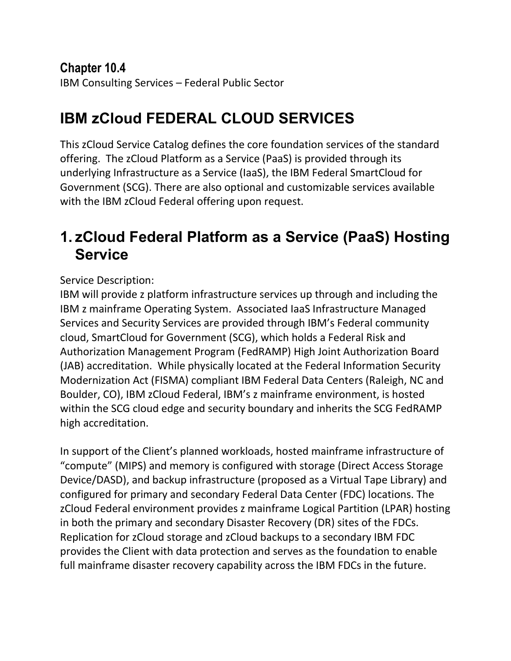#### **Chapter 10.4** IBM Consulting Services – Federal Public Sector

# **IBM zCloud FEDERAL CLOUD SERVICES**

This zCloud Service Catalog defines the core foundation services of the standard offering. The zCloud Platform as a Service (PaaS) is provided through its underlying Infrastructure as a Service (IaaS), the IBM Federal SmartCloud for Government (SCG). There are also optional and customizable services available with the IBM zCloud Federal offering upon request.

### **1. zCloud Federal Platform as a Service (PaaS) Hosting Service**

Service Description:

IBM will provide z platform infrastructure services up through and including the IBM z mainframe Operating System. Associated IaaS Infrastructure Managed Services and Security Services are provided through IBM's Federal community cloud, SmartCloud for Government (SCG), which holds a Federal Risk and Authorization Management Program (FedRAMP) High Joint Authorization Board (JAB) accreditation. While physically located at the Federal Information Security Modernization Act (FISMA) compliant IBM Federal Data Centers (Raleigh, NC and Boulder, CO), IBM zCloud Federal, IBM's z mainframe environment, is hosted within the SCG cloud edge and security boundary and inherits the SCG FedRAMP high accreditation.

In support of the Client's planned workloads, hosted mainframe infrastructure of "compute" (MIPS) and memory is configured with storage (Direct Access Storage Device/DASD), and backup infrastructure (proposed as a Virtual Tape Library) and configured for primary and secondary Federal Data Center (FDC) locations. The zCloud Federal environment provides z mainframe Logical Partition (LPAR) hosting in both the primary and secondary Disaster Recovery (DR) sites of the FDCs. Replication for zCloud storage and zCloud backups to a secondary IBM FDC provides the Client with data protection and serves as the foundation to enable full mainframe disaster recovery capability across the IBM FDCs in the future.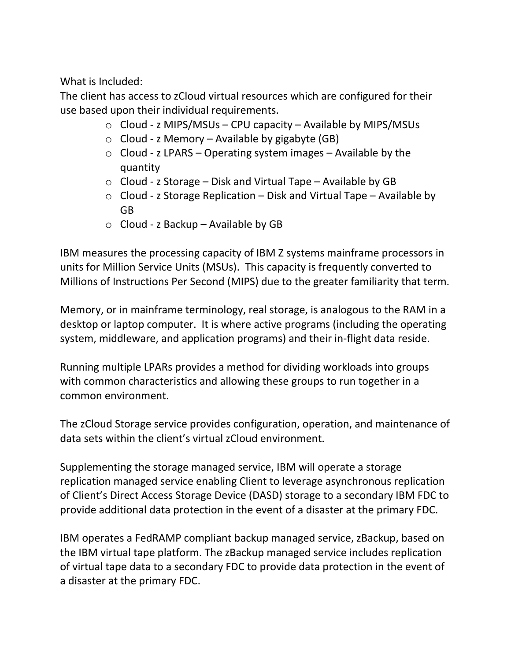What is Included:

The client has access to zCloud virtual resources which are configured for their use based upon their individual requirements.

- $\circ$  Cloud z MIPS/MSUs CPU capacity Available by MIPS/MSUs
- $\circ$  Cloud z Memory Available by gigabyte (GB)
- $\circ$  Cloud z LPARS Operating system images Available by the quantity
- $\circ$  Cloud z Storage Disk and Virtual Tape Available by GB
- o Cloud z Storage Replication Disk and Virtual Tape Available by GB
- $\circ$  Cloud z Backup Available by GB

IBM measures the processing capacity of IBM Z systems mainframe processors in units for Million Service Units (MSUs). This capacity is frequently converted to Millions of Instructions Per Second (MIPS) due to the greater familiarity that term.

Memory, or in mainframe terminology, real storage, is analogous to the RAM in a desktop or laptop computer. It is where active programs (including the operating system, middleware, and application programs) and their in-flight data reside.

Running multiple LPARs provides a method for dividing workloads into groups with common characteristics and allowing these groups to run together in a common environment.

The zCloud Storage service provides configuration, operation, and maintenance of data sets within the client's virtual zCloud environment.

Supplementing the storage managed service, IBM will operate a storage replication managed service enabling Client to leverage asynchronous replication of Client's Direct Access Storage Device (DASD) storage to a secondary IBM FDC to provide additional data protection in the event of a disaster at the primary FDC.

IBM operates a FedRAMP compliant backup managed service, zBackup, based on the IBM virtual tape platform. The zBackup managed service includes replication of virtual tape data to a secondary FDC to provide data protection in the event of a disaster at the primary FDC.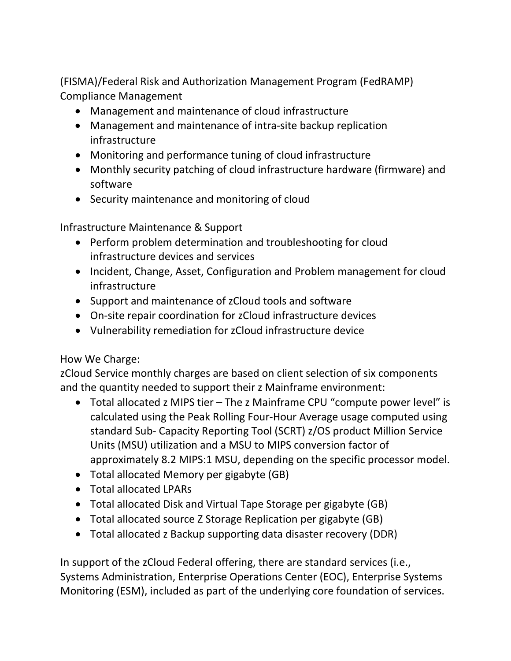(FISMA)/Federal Risk and Authorization Management Program (FedRAMP) Compliance Management

- Management and maintenance of cloud infrastructure
- Management and maintenance of intra-site backup replication infrastructure
- Monitoring and performance tuning of cloud infrastructure
- Monthly security patching of cloud infrastructure hardware (firmware) and software
- Security maintenance and monitoring of cloud

Infrastructure Maintenance & Support

- Perform problem determination and troubleshooting for cloud infrastructure devices and services
- Incident, Change, Asset, Configuration and Problem management for cloud infrastructure
- Support and maintenance of zCloud tools and software
- On-site repair coordination for zCloud infrastructure devices
- Vulnerability remediation for zCloud infrastructure device

#### How We Charge:

zCloud Service monthly charges are based on client selection of six components and the quantity needed to support their z Mainframe environment:

- Total allocated z MIPS tier The z Mainframe CPU "compute power level" is calculated using the Peak Rolling Four-Hour Average usage computed using standard Sub- Capacity Reporting Tool (SCRT) z/OS product Million Service Units (MSU) utilization and a MSU to MIPS conversion factor of approximately 8.2 MIPS:1 MSU, depending on the specific processor model.
- Total allocated Memory per gigabyte (GB)
- Total allocated LPARs
- Total allocated Disk and Virtual Tape Storage per gigabyte (GB)
- Total allocated source Z Storage Replication per gigabyte (GB)
- Total allocated z Backup supporting data disaster recovery (DDR)

In support of the zCloud Federal offering, there are standard services (i.e., Systems Administration, Enterprise Operations Center (EOC), Enterprise Systems Monitoring (ESM), included as part of the underlying core foundation of services.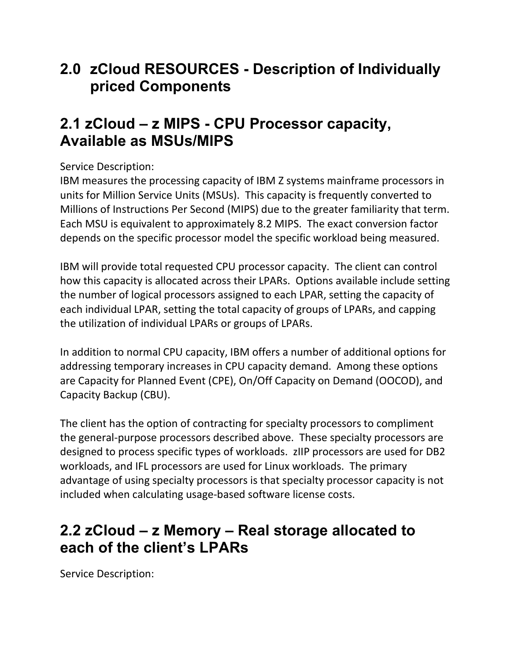#### **2.0 zCloud RESOURCES - Description of Individually priced Components**

### **2.1 zCloud – z MIPS - CPU Processor capacity, Available as MSUs/MIPS**

#### Service Description:

IBM measures the processing capacity of IBM Z systems mainframe processors in units for Million Service Units (MSUs). This capacity is frequently converted to Millions of Instructions Per Second (MIPS) due to the greater familiarity that term. Each MSU is equivalent to approximately 8.2 MIPS. The exact conversion factor depends on the specific processor model the specific workload being measured.

IBM will provide total requested CPU processor capacity. The client can control how this capacity is allocated across their LPARs. Options available include setting the number of logical processors assigned to each LPAR, setting the capacity of each individual LPAR, setting the total capacity of groups of LPARs, and capping the utilization of individual LPARs or groups of LPARs.

In addition to normal CPU capacity, IBM offers a number of additional options for addressing temporary increases in CPU capacity demand. Among these options are Capacity for Planned Event (CPE), On/Off Capacity on Demand (OOCOD), and Capacity Backup (CBU).

The client has the option of contracting for specialty processors to compliment the general-purpose processors described above. These specialty processors are designed to process specific types of workloads. zIIP processors are used for DB2 workloads, and IFL processors are used for Linux workloads. The primary advantage of using specialty processors is that specialty processor capacity is not included when calculating usage-based software license costs.

#### **2.2 zCloud – z Memory – Real storage allocated to each of the client's LPARs**

Service Description: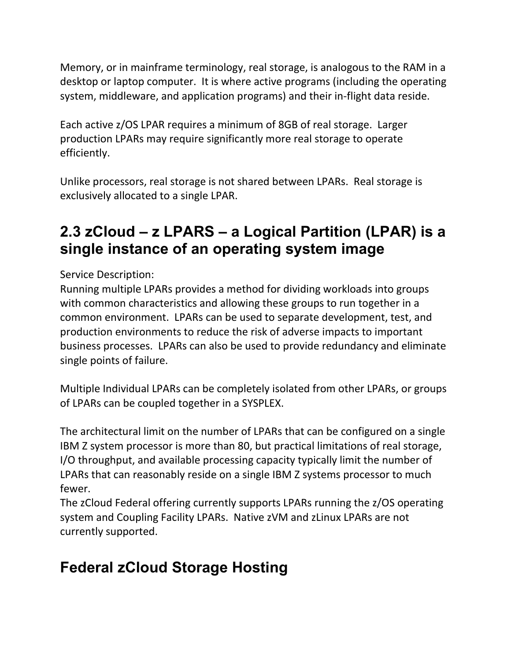Memory, or in mainframe terminology, real storage, is analogous to the RAM in a desktop or laptop computer. It is where active programs (including the operating system, middleware, and application programs) and their in-flight data reside.

Each active z/OS LPAR requires a minimum of 8GB of real storage. Larger production LPARs may require significantly more real storage to operate efficiently.

Unlike processors, real storage is not shared between LPARs. Real storage is exclusively allocated to a single LPAR.

## **2.3 zCloud – z LPARS – a Logical Partition (LPAR) is a single instance of an operating system image**

Service Description:

Running multiple LPARs provides a method for dividing workloads into groups with common characteristics and allowing these groups to run together in a common environment. LPARs can be used to separate development, test, and production environments to reduce the risk of adverse impacts to important business processes. LPARs can also be used to provide redundancy and eliminate single points of failure.

Multiple Individual LPARs can be completely isolated from other LPARs, or groups of LPARs can be coupled together in a SYSPLEX.

The architectural limit on the number of LPARs that can be configured on a single IBM Z system processor is more than 80, but practical limitations of real storage, I/O throughput, and available processing capacity typically limit the number of LPARs that can reasonably reside on a single IBM Z systems processor to much fewer.

The zCloud Federal offering currently supports LPARs running the z/OS operating system and Coupling Facility LPARs. Native zVM and zLinux LPARs are not currently supported.

# **Federal zCloud Storage Hosting**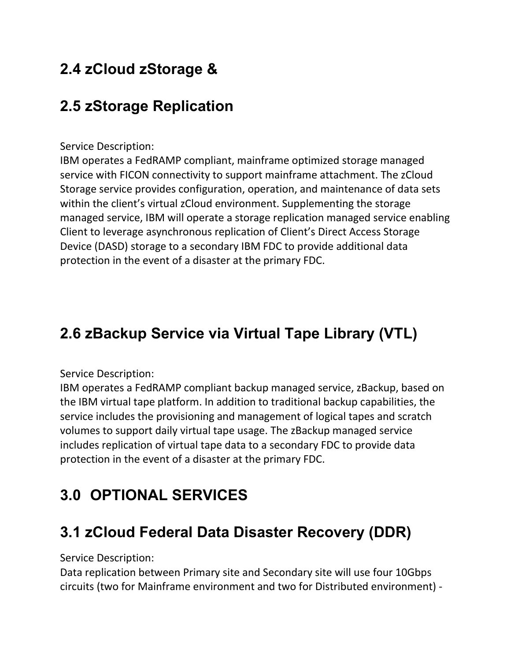# **2.4 zCloud zStorage &**

# **2.5 zStorage Replication**

#### Service Description:

IBM operates a FedRAMP compliant, mainframe optimized storage managed service with FICON connectivity to support mainframe attachment. The zCloud Storage service provides configuration, operation, and maintenance of data sets within the client's virtual zCloud environment. Supplementing the storage managed service, IBM will operate a storage replication managed service enabling Client to leverage asynchronous replication of Client's Direct Access Storage Device (DASD) storage to a secondary IBM FDC to provide additional data protection in the event of a disaster at the primary FDC.

## **2.6 zBackup Service via Virtual Tape Library (VTL)**

#### Service Description:

IBM operates a FedRAMP compliant backup managed service, zBackup, based on the IBM virtual tape platform. In addition to traditional backup capabilities, the service includes the provisioning and management of logical tapes and scratch volumes to support daily virtual tape usage. The zBackup managed service includes replication of virtual tape data to a secondary FDC to provide data protection in the event of a disaster at the primary FDC.

## **3.0 OPTIONAL SERVICES**

### **3.1 zCloud Federal Data Disaster Recovery (DDR)**

Service Description:

Data replication between Primary site and Secondary site will use four 10Gbps circuits (two for Mainframe environment and two for Distributed environment) -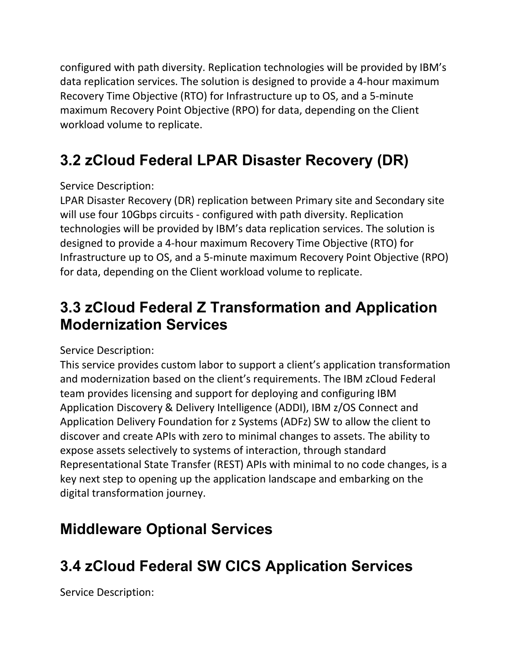configured with path diversity. Replication technologies will be provided by IBM's data replication services. The solution is designed to provide a 4-hour maximum Recovery Time Objective (RTO) for Infrastructure up to OS, and a 5-minute maximum Recovery Point Objective (RPO) for data, depending on the Client workload volume to replicate.

# **3.2 zCloud Federal LPAR Disaster Recovery (DR)**

Service Description:

LPAR Disaster Recovery (DR) replication between Primary site and Secondary site will use four 10Gbps circuits - configured with path diversity. Replication technologies will be provided by IBM's data replication services. The solution is designed to provide a 4-hour maximum Recovery Time Objective (RTO) for Infrastructure up to OS, and a 5-minute maximum Recovery Point Objective (RPO) for data, depending on the Client workload volume to replicate.

### **3.3 zCloud Federal Z Transformation and Application Modernization Services**

Service Description:

This service provides custom labor to support a client's application transformation and modernization based on the client's requirements. The IBM zCloud Federal team provides licensing and support for deploying and configuring IBM Application Discovery & Delivery Intelligence (ADDI), IBM z/OS Connect and Application Delivery Foundation for z Systems (ADFz) SW to allow the client to discover and create APIs with zero to minimal changes to assets. The ability to expose assets selectively to systems of interaction, through standard Representational State Transfer (REST) APIs with minimal to no code changes, is a key next step to opening up the application landscape and embarking on the digital transformation journey.

## **Middleware Optional Services**

# **3.4 zCloud Federal SW CICS Application Services**

Service Description: